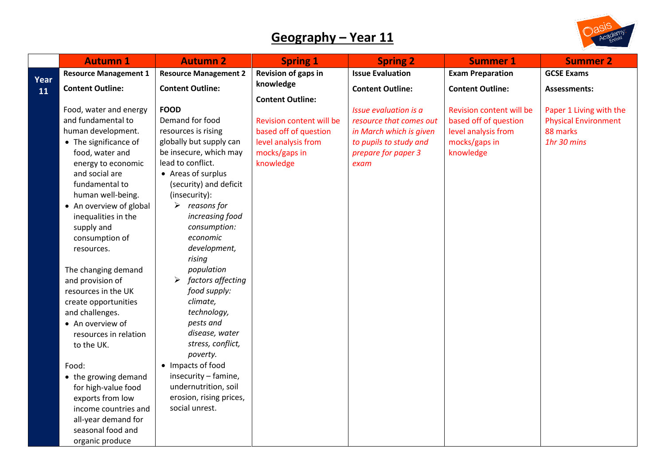## **Geography – Year 11**



|      | <b>Autumn 1</b>              | <b>Autumn 2</b>              | <b>Spring 1</b>          | <b>Spring 2</b>         | <b>Summer 1</b>          | <b>Summer 2</b>             |
|------|------------------------------|------------------------------|--------------------------|-------------------------|--------------------------|-----------------------------|
| Year | <b>Resource Management 1</b> | <b>Resource Management 2</b> | Revision of gaps in      | <b>Issue Evaluation</b> | <b>Exam Preparation</b>  | <b>GCSE Exams</b>           |
| 11   | <b>Content Outline:</b>      | <b>Content Outline:</b>      | knowledge                | <b>Content Outline:</b> | <b>Content Outline:</b>  | <b>Assessments:</b>         |
|      |                              |                              | <b>Content Outline:</b>  |                         |                          |                             |
|      | Food, water and energy       | <b>FOOD</b>                  |                          | Issue evaluation is a   | Revision content will be | Paper 1 Living with the     |
|      | and fundamental to           | Demand for food              | Revision content will be | resource that comes out | based off of question    | <b>Physical Environment</b> |
|      | human development.           | resources is rising          | based off of question    | in March which is given | level analysis from      | 88 marks                    |
|      | • The significance of        | globally but supply can      | level analysis from      | to pupils to study and  | mocks/gaps in            | 1hr 30 mins                 |
|      | food, water and              | be insecure, which may       | mocks/gaps in            | prepare for paper 3     | knowledge                |                             |
|      | energy to economic           | lead to conflict.            | knowledge                | exam                    |                          |                             |
|      | and social are               | • Areas of surplus           |                          |                         |                          |                             |
|      | fundamental to               | (security) and deficit       |                          |                         |                          |                             |
|      | human well-being.            | (insecurity):                |                          |                         |                          |                             |
|      | • An overview of global      | $\triangleright$ reasons for |                          |                         |                          |                             |
|      | inequalities in the          | increasing food              |                          |                         |                          |                             |
|      | supply and                   | consumption:                 |                          |                         |                          |                             |
|      | consumption of               | economic                     |                          |                         |                          |                             |
|      | resources.                   | development,                 |                          |                         |                          |                             |
|      |                              | rising                       |                          |                         |                          |                             |
|      | The changing demand          | population                   |                          |                         |                          |                             |
|      | and provision of             | factors affecting            |                          |                         |                          |                             |
|      | resources in the UK          | food supply:                 |                          |                         |                          |                             |
|      | create opportunities         | climate,                     |                          |                         |                          |                             |
|      | and challenges.              | technology,                  |                          |                         |                          |                             |
|      | • An overview of             | pests and                    |                          |                         |                          |                             |
|      | resources in relation        | disease, water               |                          |                         |                          |                             |
|      | to the UK.                   | stress, conflict,            |                          |                         |                          |                             |
|      |                              | poverty.                     |                          |                         |                          |                             |
|      | Food:                        | • Impacts of food            |                          |                         |                          |                             |
|      | • the growing demand         | insecurity - famine,         |                          |                         |                          |                             |
|      | for high-value food          | undernutrition, soil         |                          |                         |                          |                             |
|      | exports from low             | erosion, rising prices,      |                          |                         |                          |                             |
|      | income countries and         | social unrest.               |                          |                         |                          |                             |
|      | all-year demand for          |                              |                          |                         |                          |                             |
|      | seasonal food and            |                              |                          |                         |                          |                             |
|      | organic produce              |                              |                          |                         |                          |                             |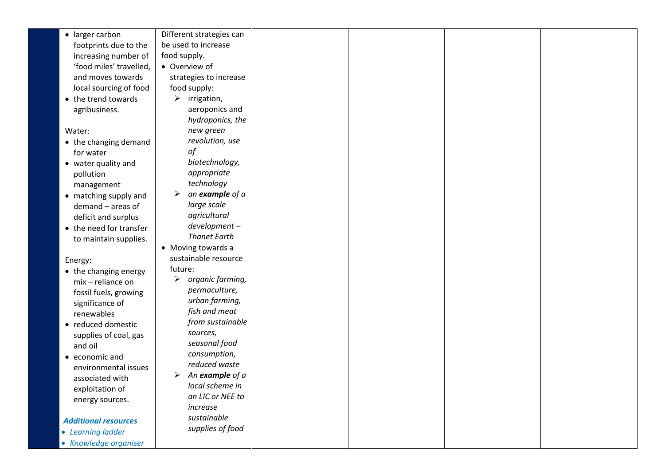| • larger carbon             | Different strategies can     |  |  |
|-----------------------------|------------------------------|--|--|
| footprints due to the       | be used to increase          |  |  |
| increasing number of        | food supply.                 |  |  |
| 'food miles' travelled,     | • Overview of                |  |  |
| and moves towards           | strategies to increase       |  |  |
| local sourcing of food      | food supply:                 |  |  |
| • the trend towards         | $\triangleright$ irrigation, |  |  |
| agribusiness.               | aeroponics and               |  |  |
|                             | hydroponics, the             |  |  |
| Water:                      | new green                    |  |  |
| • the changing demand       | revolution, use              |  |  |
| for water                   | of                           |  |  |
| • water quality and         | biotechnology,               |  |  |
| pollution                   | appropriate                  |  |  |
| management                  | technology                   |  |  |
| • matching supply and       | an example of a              |  |  |
| demand - areas of           | large scale                  |  |  |
| deficit and surplus         | agricultural                 |  |  |
| • the need for transfer     | development-                 |  |  |
| to maintain supplies.       | <b>Thanet Earth</b>          |  |  |
|                             | • Moving towards a           |  |  |
| Energy:                     | sustainable resource         |  |  |
| • the changing energy       | future:                      |  |  |
| mix - reliance on           | organic farming,<br>➤        |  |  |
| fossil fuels, growing       | permaculture,                |  |  |
| significance of             | urban farming,               |  |  |
| renewables                  | fish and meat                |  |  |
| • reduced domestic          | from sustainable             |  |  |
| supplies of coal, gas       | sources,                     |  |  |
| and oil                     | seasonal food                |  |  |
| • economic and              | consumption,                 |  |  |
| environmental issues        | reduced waste                |  |  |
| associated with             | An example of a<br>➤         |  |  |
| exploitation of             | local scheme in              |  |  |
| energy sources.             | an LIC or NEE to             |  |  |
|                             | increase                     |  |  |
| <b>Additional resources</b> | sustainable                  |  |  |
| • Learning ladder           | supplies of food             |  |  |
| • Knowledge organiser       |                              |  |  |